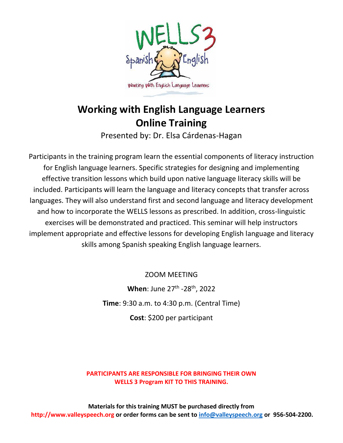

## **Working with English Language Learners Online Training**

Presented by: Dr. Elsa Cárdenas-Hagan

Participants in the training program learn the essential components of literacy instruction for English language learners. Specific strategies for designing and implementing effective transition lessons which build upon native language literacy skills will be included. Participants will learn the language and literacy concepts that transfer across languages. They will also understand first and second language and literacy development and how to incorporate the WELLS lessons as prescribed. In addition, cross-linguistic exercises will be demonstrated and practiced. This seminar will help instructors implement appropriate and effective lessons for developing English language and literacy skills among Spanish speaking English language learners.

ZOOM MEETING

**When**: June 27<sup>th</sup> -28<sup>th</sup>, 2022 **Time**: 9:30 a.m. to 4:30 p.m. (Central Time) **Cost**: \$200 per participant

**PARTICIPANTS ARE RESPONSIBLE FOR BRINGING THEIR OWN WELLS 3 Program KIT TO THIS TRAINING.**